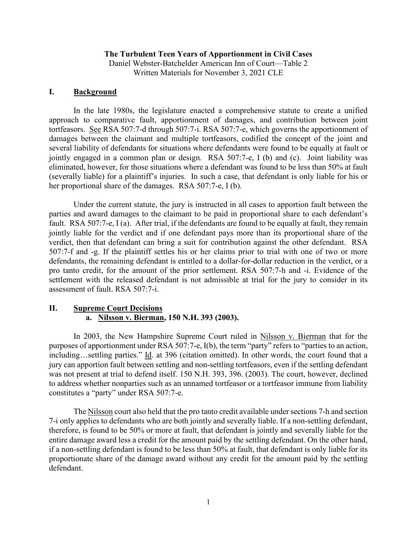#### **The Turbulent Teen Years of Apportionment in Civil Cases**

Daniel Webster-Batchelder American Inn of Court—Table 2 Written Materials for November 3, 2021 CLE

#### **I. Background**

In the late 1980s, the legislature enacted a comprehensive statute to create a unified approach to comparative fault, apportionment of damages, and contribution between joint tortfeasors. See RSA 507:7-d through 507:7-i. RSA 507:7-e, which governs the apportionment of damages between the claimant and multiple tortfeasors, codified the concept of the joint and several liability of defendants for situations where defendants were found to be equally at fault or jointly engaged in a common plan or design. RSA 507:7-e, I (b) and (c). Joint liability was eliminated, however, for those situations where a defendant was found to be less than 50% at fault (severally liable) for a plaintiff's injuries. In such a case, that defendant is only liable for his or her proportional share of the damages. RSA 507:7-e, I (b).

Under the current statute, the jury is instructed in all cases to apportion fault between the parties and award damages to the claimant to be paid in proportional share to each defendant's fault. RSA 507:7-e, I (a). After trial, if the defendants are found to be equally at fault, they remain jointly liable for the verdict and if one defendant pays more than its proportional share of the verdict, then that defendant can bring a suit for contribution against the other defendant. RSA 507:7-f and -g. If the plaintiff settles his or her claims prior to trial with one of two or more defendants, the remaining defendant is entitled to a dollar-for-dollar reduction in the verdict, or a pro tanto credit, for the amount of the prior settlement. RSA 507:7-h and -i. Evidence of the settlement with the released defendant is not admissible at trial for the jury to consider in its assessment of fault. RSA 507:7-i.

### **II. Supreme Court Decisions a. Nilsson v. Bierman, 150 N.H. 393 (2003).**

In 2003, the New Hampshire Supreme Court ruled in Nilsson v. Bierman that for the purposes of apportionment under RSA 507:7-e, I(b), the term "party" refers to "parties to an action, including…settling parties." Id. at 396 (citation omitted). In other words, the court found that a jury can apportion fault between settling and non-settling tortfeasors, even if the settling defendant was not present at trial to defend itself. 150 N.H. 393, 396. (2003). The court, however, declined to address whether nonparties such as an unnamed tortfeasor or a tortfeasor immune from liability constitutes a "party" under RSA 507:7-e.

The Nilsson court also held that the pro tanto credit available under sections 7-h and section 7-i only applies to defendants who are both jointly and severally liable. If a non-settling defendant, therefore, is found to be 50% or more at fault, that defendant is jointly and severally liable for the entire damage award less a credit for the amount paid by the settling defendant. On the other hand, if a non-settling defendant is found to be less than 50% at fault, that defendant is only liable for its proportionate share of the damage award without any credit for the amount paid by the settling defendant.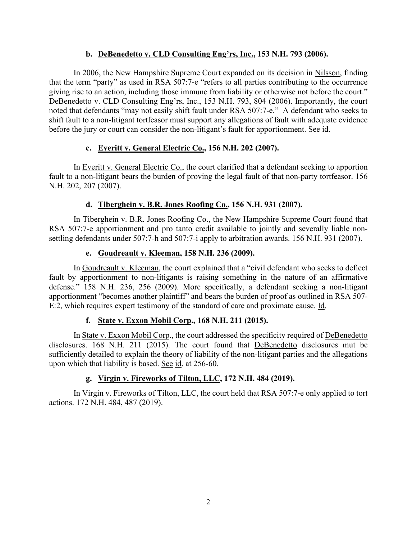# **b. DeBenedetto v. CLD Consulting Eng'rs, Inc., 153 N.H. 793 (2006).**

In 2006, the New Hampshire Supreme Court expanded on its decision in Nilsson, finding that the term "party" as used in RSA 507:7-e "refers to all parties contributing to the occurrence giving rise to an action, including those immune from liability or otherwise not before the court." DeBenedetto v. CLD Consulting Eng'rs, Inc., 153 N.H. 793, 804 (2006). Importantly, the court noted that defendants "may not easily shift fault under RSA 507:7-e." A defendant who seeks to shift fault to a non-litigant tortfeasor must support any allegations of fault with adequate evidence before the jury or court can consider the non-litigant's fault for apportionment. See id.

# **c. Everitt v. General Electric Co., 156 N.H. 202 (2007).**

In Everitt v. General Electric Co., the court clarified that a defendant seeking to apportion fault to a non-litigant bears the burden of proving the legal fault of that non-party tortfeasor. 156 N.H. 202, 207 (2007).

# **d. Tiberghein v. B.R. Jones Roofing Co., 156 N.H. 931 (2007).**

In Tiberghein v. B.R. Jones Roofing Co., the New Hampshire Supreme Court found that RSA 507:7-e apportionment and pro tanto credit available to jointly and severally liable nonsettling defendants under 507:7-h and 507:7-i apply to arbitration awards. 156 N.H. 931 (2007).

# **e. Goudreault v. Kleeman, 158 N.H. 236 (2009).**

In Goudreault v. Kleeman, the court explained that a "civil defendant who seeks to deflect fault by apportionment to non-litigants is raising something in the nature of an affirmative defense." 158 N.H. 236, 256 (2009). More specifically, a defendant seeking a non-litigant apportionment "becomes another plaintiff" and bears the burden of proof as outlined in RSA 507- E:2, which requires expert testimony of the standard of care and proximate cause. Id.

# **f. State v. Exxon Mobil Corp., 168 N.H. 211 (2015).**

In State v. Exxon Mobil Corp., the court addressed the specificity required of DeBenedetto disclosures. 168 N.H. 211 (2015). The court found that DeBenedetto disclosures mut be sufficiently detailed to explain the theory of liability of the non-litigant parties and the allegations upon which that liability is based. See id. at 256-60.

# **g. Virgin v. Fireworks of Tilton, LLC, 172 N.H. 484 (2019).**

In Virgin v. Fireworks of Tilton, LLC, the court held that RSA 507:7-e only applied to tort actions. 172 N.H. 484, 487 (2019).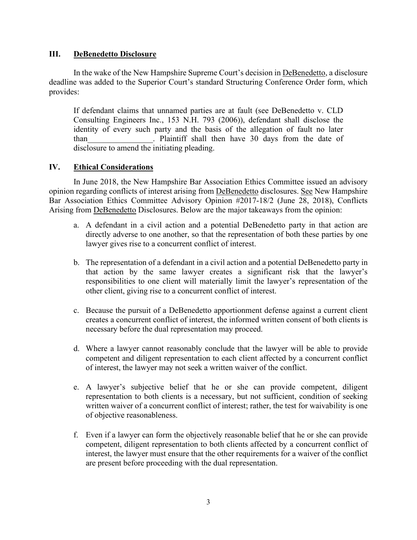### **III. DeBenedetto Disclosure**

In the wake of the New Hampshire Supreme Court's decision in DeBenedetto, a disclosure deadline was added to the Superior Court's standard Structuring Conference Order form, which provides:

If defendant claims that unnamed parties are at fault (see DeBenedetto v. CLD Consulting Engineers Inc., 153 N.H. 793 (2006)), defendant shall disclose the identity of every such party and the basis of the allegation of fault no later than extending the Plaintiff shall then have 30 days from the date of disclosure to amend the initiating pleading.

### **IV. Ethical Considerations**

In June 2018, the New Hampshire Bar Association Ethics Committee issued an advisory opinion regarding conflicts of interest arising from DeBenedetto disclosures. See New Hampshire Bar Association Ethics Committee Advisory Opinion #2017-18/2 (June 28, 2018), Conflicts Arising from DeBenedetto Disclosures. Below are the major takeaways from the opinion:

- a. A defendant in a civil action and a potential DeBenedetto party in that action are directly adverse to one another, so that the representation of both these parties by one lawyer gives rise to a concurrent conflict of interest.
- b. The representation of a defendant in a civil action and a potential DeBenedetto party in that action by the same lawyer creates a significant risk that the lawyer's responsibilities to one client will materially limit the lawyer's representation of the other client, giving rise to a concurrent conflict of interest.
- c. Because the pursuit of a DeBenedetto apportionment defense against a current client creates a concurrent conflict of interest, the informed written consent of both clients is necessary before the dual representation may proceed.
- d. Where a lawyer cannot reasonably conclude that the lawyer will be able to provide competent and diligent representation to each client affected by a concurrent conflict of interest, the lawyer may not seek a written waiver of the conflict.
- e. A lawyer's subjective belief that he or she can provide competent, diligent representation to both clients is a necessary, but not sufficient, condition of seeking written waiver of a concurrent conflict of interest; rather, the test for waivability is one of objective reasonableness.
- f. Even if a lawyer can form the objectively reasonable belief that he or she can provide competent, diligent representation to both clients affected by a concurrent conflict of interest, the lawyer must ensure that the other requirements for a waiver of the conflict are present before proceeding with the dual representation.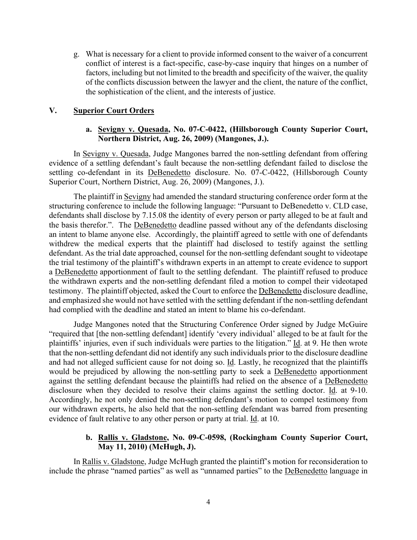g. What is necessary for a client to provide informed consent to the waiver of a concurrent conflict of interest is a fact-specific, case-by-case inquiry that hinges on a number of factors, including but not limited to the breadth and specificity of the waiver, the quality of the conflicts discussion between the lawyer and the client, the nature of the conflict, the sophistication of the client, and the interests of justice.

#### **V. Superior Court Orders**

### **a. Sevigny v. Quesada, No. 07-C-0422, (Hillsborough County Superior Court, Northern District, Aug. 26, 2009) (Mangones, J.).**

In Sevigny v. Quesada, Judge Mangones barred the non-settling defendant from offering evidence of a settling defendant's fault because the non-settling defendant failed to disclose the settling co-defendant in its DeBenedetto disclosure. No. 07-C-0422, (Hillsborough County Superior Court, Northern District, Aug. 26, 2009) (Mangones, J.).

The plaintiff in Sevigny had amended the standard structuring conference order form at the structuring conference to include the following language: "Pursuant to DeBenedetto v. CLD case, defendants shall disclose by 7.15.08 the identity of every person or party alleged to be at fault and the basis therefor.". The DeBenedetto deadline passed without any of the defendants disclosing an intent to blame anyone else. Accordingly, the plaintiff agreed to settle with one of defendants withdrew the medical experts that the plaintiff had disclosed to testify against the settling defendant. As the trial date approached, counsel for the non-settling defendant sought to videotape the trial testimony of the plaintiff's withdrawn experts in an attempt to create evidence to support a DeBenedetto apportionment of fault to the settling defendant. The plaintiff refused to produce the withdrawn experts and the non-settling defendant filed a motion to compel their videotaped testimony. The plaintiff objected, asked the Court to enforce the DeBenedetto disclosure deadline, and emphasized she would not have settled with the settling defendant if the non-settling defendant had complied with the deadline and stated an intent to blame his co-defendant.

Judge Mangones noted that the Structuring Conference Order signed by Judge McGuire "required that [the non-settling defendant] identify 'every individual' alleged to be at fault for the plaintiffs' injuries, even if such individuals were parties to the litigation." Id. at 9. He then wrote that the non-settling defendant did not identify any such individuals prior to the disclosure deadline and had not alleged sufficient cause for not doing so. Id. Lastly, he recognized that the plaintiffs would be prejudiced by allowing the non-settling party to seek a DeBenedetto apportionment against the settling defendant because the plaintiffs had relied on the absence of a DeBenedetto disclosure when they decided to resolve their claims against the settling doctor. Id. at 9-10. Accordingly, he not only denied the non-settling defendant's motion to compel testimony from our withdrawn experts, he also held that the non-settling defendant was barred from presenting evidence of fault relative to any other person or party at trial. Id. at 10.

### **b. Rallis v. Gladstone, No. 09-C-0598, (Rockingham County Superior Court, May 11, 2010) (McHugh, J).**

In Rallis v. Gladstone, Judge McHugh granted the plaintiff's motion for reconsideration to include the phrase "named parties" as well as "unnamed parties" to the DeBenedetto language in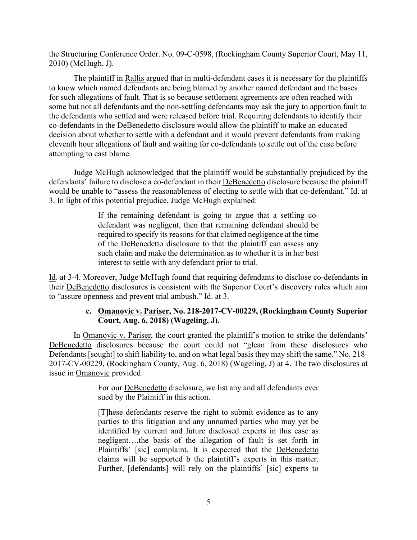the Structuring Conference Order. No. 09-C-0598, (Rockingham County Superior Court, May 11, 2010) (McHugh, J).

The plaintiff in Rallis argued that in multi-defendant cases it is necessary for the plaintiffs to know which named defendants are being blamed by another named defendant and the bases for such allegations of fault. That is so because settlement agreements are often reached with some but not all defendants and the non-settling defendants may ask the jury to apportion fault to the defendants who settled and were released before trial. Requiring defendants to identify their co-defendants in the DeBenedetto disclosure would allow the plaintiff to make an educated decision about whether to settle with a defendant and it would prevent defendants from making eleventh hour allegations of fault and waiting for co-defendants to settle out of the case before attempting to cast blame.

Judge McHugh acknowledged that the plaintiff would be substantially prejudiced by the defendants' failure to disclose a co-defendant in their DeBenedetto disclosure because the plaintiff would be unable to "assess the reasonableness of electing to settle with that co-defendant." Id. at 3. In light of this potential prejudice, Judge McHugh explained:

> If the remaining defendant is going to argue that a settling codefendant was negligent, then that remaining defendant should be required to specify its reasons for that claimed negligence at the time of the DeBenedetto disclosure to that the plaintiff can assess any such claim and make the determination as to whether it is in her best interest to settle with any defendant prior to trial.

Id. at 3-4. Moreover, Judge McHugh found that requiring defendants to disclose co-defendants in their DeBenedetto disclosures is consistent with the Superior Court's discovery rules which aim to "assure openness and prevent trial ambush." Id. at 3.

### **c. Omanovic v. Pariser, No. 218-2017-CV-00229, (Rockingham County Superior Court, Aug. 6, 2018) (Wageling, J).**

In Omanovic v. Pariser, the court granted the plaintiff's motion to strike the defendants' DeBenedetto disclosures because the court could not "glean from these disclosures who Defendants [sought] to shift liability to, and on what legal basis they may shift the same." No. 218- 2017-CV-00229, (Rockingham County, Aug. 6, 2018) (Wageling, J) at 4. The two disclosures at issue in Omanovic provided:

> For our DeBenedetto disclosure, we list any and all defendants ever sued by the Plaintiff in this action.

> [T]hese defendants reserve the right to submit evidence as to any parties to this litigation and any unnamed parties who may yet be identified by current and future disclosed experts in this case as negligent….the basis of the allegation of fault is set forth in Plaintiffs' [sic] complaint. It is expected that the DeBenedetto claims will be supported b the plaintiff's experts in this matter. Further, [defendants] will rely on the plaintiffs' [sic] experts to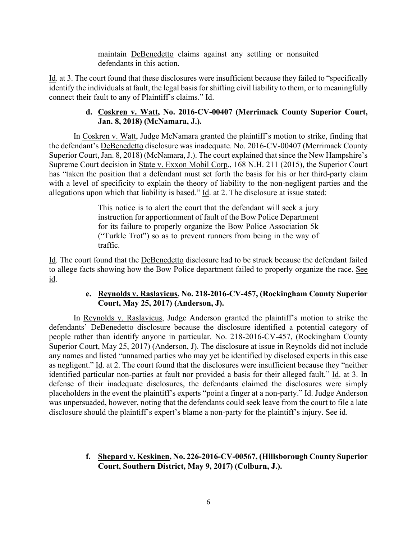maintain DeBenedetto claims against any settling or nonsuited defendants in this action.

Id. at 3. The court found that these disclosures were insufficient because they failed to "specifically identify the individuals at fault, the legal basis for shifting civil liability to them, or to meaningfully connect their fault to any of Plaintiff's claims." Id.

# **d. Coskren v. Watt, No. 2016-CV-00407 (Merrimack County Superior Court, Jan. 8, 2018) (McNamara, J.).**

In Coskren v. Watt, Judge McNamara granted the plaintiff's motion to strike, finding that the defendant's DeBenedetto disclosure was inadequate. No. 2016-CV-00407 (Merrimack County Superior Court, Jan. 8, 2018) (McNamara, J.). The court explained that since the New Hampshire's Supreme Court decision in State v. Exxon Mobil Corp., 168 N.H. 211 (2015), the Superior Court has "taken the position that a defendant must set forth the basis for his or her third-party claim with a level of specificity to explain the theory of liability to the non-negligent parties and the allegations upon which that liability is based." Id. at 2. The disclosure at issue stated:

> This notice is to alert the court that the defendant will seek a jury instruction for apportionment of fault of the Bow Police Department for its failure to properly organize the Bow Police Association 5k ("Turkle Trot") so as to prevent runners from being in the way of traffic.

Id. The court found that the DeBenedetto disclosure had to be struck because the defendant failed to allege facts showing how the Bow Police department failed to properly organize the race. See id.

### **e. Reynolds v. Raslavicus, No. 218-2016-CV-457, (Rockingham County Superior Court, May 25, 2017) (Anderson, J).**

In Reynolds v. Raslavicus, Judge Anderson granted the plaintiff's motion to strike the defendants' DeBenedetto disclosure because the disclosure identified a potential category of people rather than identify anyone in particular. No. 218-2016-CV-457, (Rockingham County Superior Court, May 25, 2017) (Anderson, J). The disclosure at issue in Reynolds did not include any names and listed "unnamed parties who may yet be identified by disclosed experts in this case as negligent." Id. at 2. The court found that the disclosures were insufficient because they "neither identified particular non-parties at fault nor provided a basis for their alleged fault." Id. at 3. In defense of their inadequate disclosures, the defendants claimed the disclosures were simply placeholders in the event the plaintiff's experts "point a finger at a non-party." Id. Judge Anderson was unpersuaded, however, noting that the defendants could seek leave from the court to file a late disclosure should the plaintiff's expert's blame a non-party for the plaintiff's injury. See id.

# **f. Shepard v. Keskinen, No. 226-2016-CV-00567, (Hillsborough County Superior Court, Southern District, May 9, 2017) (Colburn, J.).**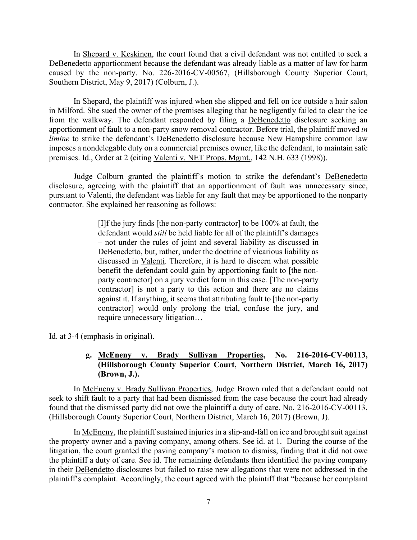In Shepard v. Keskinen, the court found that a civil defendant was not entitled to seek a DeBenedetto apportionment because the defendant was already liable as a matter of law for harm caused by the non-party. No. 226-2016-CV-00567, (Hillsborough County Superior Court, Southern District, May 9, 2017) (Colburn, J.).

In Shepard, the plaintiff was injured when she slipped and fell on ice outside a hair salon in Milford. She sued the owner of the premises alleging that he negligently failed to clear the ice from the walkway. The defendant responded by filing a DeBenedetto disclosure seeking an apportionment of fault to a non-party snow removal contractor. Before trial, the plaintiff moved *in limine* to strike the defendant's DeBenedetto disclosure because New Hampshire common law imposes a nondelegable duty on a commercial premises owner, like the defendant, to maintain safe premises. Id., Order at 2 (citing Valenti v. NET Props. Mgmt., 142 N.H. 633 (1998)).

Judge Colburn granted the plaintiff's motion to strike the defendant's DeBenedetto disclosure, agreeing with the plaintiff that an apportionment of fault was unnecessary since, pursuant to Valenti, the defendant was liable for any fault that may be apportioned to the nonparty contractor. She explained her reasoning as follows:

> [I]f the jury finds [the non-party contractor] to be 100% at fault, the defendant would *still* be held liable for all of the plaintiff's damages – not under the rules of joint and several liability as discussed in DeBenedetto, but, rather, under the doctrine of vicarious liability as discussed in Valenti. Therefore, it is hard to discern what possible benefit the defendant could gain by apportioning fault to [the nonparty contractor] on a jury verdict form in this case. [The non-party contractor] is not a party to this action and there are no claims against it. If anything, it seems that attributing fault to [the non-party contractor] would only prolong the trial, confuse the jury, and require unnecessary litigation…

Id. at 3-4 (emphasis in original).

### **g. McEneny v. Brady Sullivan Properties, No. 216-2016-CV-00113, (Hillsborough County Superior Court, Northern District, March 16, 2017) (Brown, J.).**

In McEneny v. Brady Sullivan Properties, Judge Brown ruled that a defendant could not seek to shift fault to a party that had been dismissed from the case because the court had already found that the dismissed party did not owe the plaintiff a duty of care. No. 216-2016-CV-00113, (Hillsborough County Superior Court, Northern District, March 16, 2017) (Brown, J).

In McEneny, the plaintiff sustained injuries in a slip-and-fall on ice and brought suit against the property owner and a paving company, among others. See id. at 1. During the course of the litigation, the court granted the paving company's motion to dismiss, finding that it did not owe the plaintiff a duty of care. See id. The remaining defendants then identified the paving company in their DeBendetto disclosures but failed to raise new allegations that were not addressed in the plaintiff's complaint. Accordingly, the court agreed with the plaintiff that "because her complaint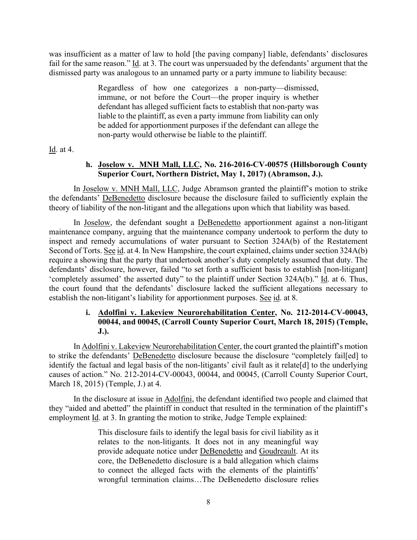was insufficient as a matter of law to hold [the paving company] liable, defendants' disclosures fail for the same reason." Id. at 3. The court was unpersuaded by the defendants' argument that the dismissed party was analogous to an unnamed party or a party immune to liability because:

> Regardless of how one categorizes a non-party—dismissed, immune, or not before the Court—the proper inquiry is whether defendant has alleged sufficient facts to establish that non-party was liable to the plaintiff, as even a party immune from liability can only be added for apportionment purposes if the defendant can allege the non-party would otherwise be liable to the plaintiff.

Id. at 4.

### **h. Joselow v. MNH Mall, LLC, No. 216-2016-CV-00575 (Hillsborough County Superior Court, Northern District, May 1, 2017) (Abramson, J.).**

In Joselow v. MNH Mall, LLC, Judge Abramson granted the plaintiff's motion to strike the defendants' DeBenedetto disclosure because the disclosure failed to sufficiently explain the theory of liability of the non-litigant and the allegations upon which that liability was based.

In Joselow, the defendant sought a DeBenedetto apportionment against a non-litigant maintenance company, arguing that the maintenance company undertook to perform the duty to inspect and remedy accumulations of water pursuant to Section 324A(b) of the Restatement Second of Torts. See id. at 4. In New Hampshire, the court explained, claims under section 324A(b) require a showing that the party that undertook another's duty completely assumed that duty. The defendants' disclosure, however, failed "to set forth a sufficient basis to establish [non-litigant] 'completely assumed' the asserted duty" to the plaintiff under Section 324A(b)." Id. at 6. Thus, the court found that the defendants' disclosure lacked the sufficient allegations necessary to establish the non-litigant's liability for apportionment purposes. See id. at 8.

# **i. Adolfini v. Lakeview Neurorehabilitation Center, No. 212-2014-CV-00043, 00044, and 00045, (Carroll County Superior Court, March 18, 2015) (Temple, J.).**

In Adolfini v. Lakeview Neurorehabilitation Center, the court granted the plaintiff's motion to strike the defendants' DeBenedetto disclosure because the disclosure "completely fail[ed] to identify the factual and legal basis of the non-litigants' civil fault as it relate[d] to the underlying causes of action." No. 212-2014-CV-00043, 00044, and 00045, (Carroll County Superior Court, March 18, 2015) (Temple, J.) at 4.

In the disclosure at issue in Adolfini, the defendant identified two people and claimed that they "aided and abetted" the plaintiff in conduct that resulted in the termination of the plaintiff's employment Id. at 3. In granting the motion to strike, Judge Temple explained:

> This disclosure fails to identify the legal basis for civil liability as it relates to the non-litigants. It does not in any meaningful way provide adequate notice under DeBenedetto and Goudreault. At its core, the DeBenedetto disclosure is a bald allegation which claims to connect the alleged facts with the elements of the plaintiffs' wrongful termination claims…The DeBenedetto disclosure relies